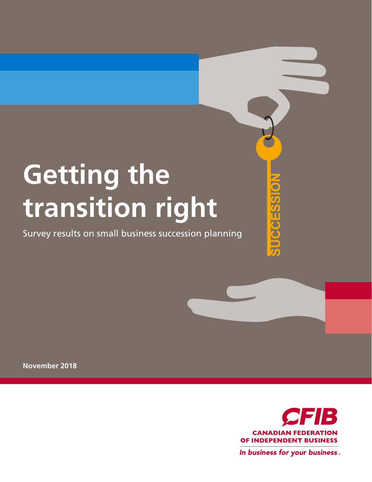# **Getting the transition right**

Survey results on small business succession planning

**CANADIAN FEDERATI** OF INDEPENDENT BUSINESS

In business for your business.

**November 2018**



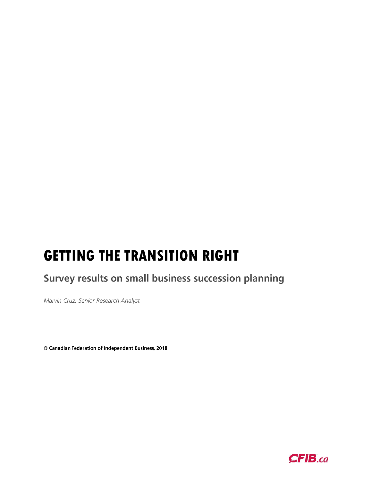## **GETTING THE TRANSITION RIGHT**

## Survey results on small business succession planning

*Marvin Cruz, Senior Research Analyst*

© Canadian Federation of Independent Business, 2018

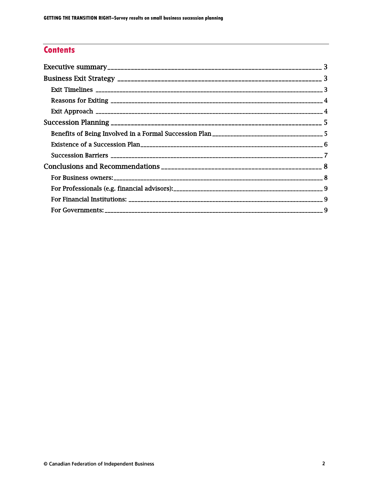## **Contents**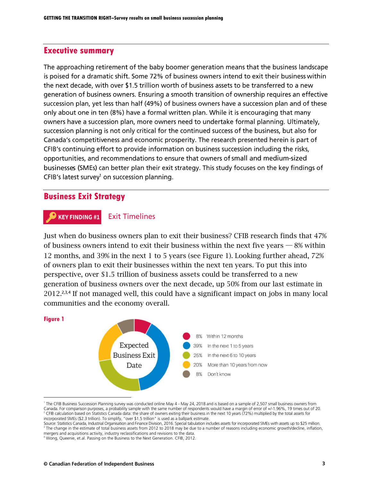## <span id="page-3-0"></span>**Executive summary**

The approaching retirement of the baby boomer generation means that the business landscape is poised for a dramatic shift. Some 72% of business owners intend to exit their business within the next decade, with over \$1.5 trillion worth of business assets to be transferred to a new generation of business owners. Ensuring a smooth transition of ownership requires an effective succession plan, yet less than half (49%) of business owners have a succession plan and of these only about one in ten (8%) have a formal written plan. While it is encouraging that many owners have a succession plan, more owners need to undertake formal planning. Ultimately, succession planning is not only critical for the continued success of the business, but also for Canada's competitiveness and economic prosperity. The research presented herein is part of CFIB's continuing effort to provide information on business succession including the risks, opportunities, and recommendations to ensure that owners of small and medium-sized businesses (SMEs) can better plan their exit strategy. This study focuses on the key findings of CFIB's latest survey<sup>1</sup> on succession planning.

## <span id="page-3-1"></span>**Business Exit Strategy**

#### <span id="page-3-2"></span>**Exit Timelines** KEY FINDING #1

Just when do business owners plan to exit their business? CFIB research finds that 47% of business owners intend to exit their business within the next five years  $-8\%$  within 12 months, and 39% in the next 1 to 5 years (see Figure 1). Looking further ahead, 72% of owners plan to exit their businesses within the next ten years. To put this into perspective, over \$1.5 trillion of business assets could be transferred to a new generation of business owners over the next decade, up 50% from our last estimate in  $2012^{2,3,4}$  If not managed well, this could have a significant impact on jobs in many local communities and the economy overall.





<sup>1</sup> The CFIB Business Succession Planning survey was conducted online May 4 - May 24, 2018 and is based on a sample of 2,507 small business owners from Canada. For comparison purposes, a probability sample with the same number of respondents would have a margin of error of +/-1.96%, 19 times out of 20. <sup>2</sup> CFIB calculation based on Statistics Canada data: the share of owners exiting their business in the next 10 years (72%) multiplied by the total assets for incorporated SMEs (\$2.3 trillion). To simplify, "over \$1.5 trillion" is used as a ballpark estimate.

Source: Statistics Canada, Industrial Organisation and Finance Division, 2016. Special tabulation includes assets for incorporated SMEs with assets up to \$25 million. <sup>3</sup> The change in the estimate of total business assets from 2012 to 2018 may be due to a number of reasons including economic growth/decline, inflation, mergers and acquisitions activity, industry reclassifications and revisions to the data.

<sup>&</sup>lt;sup>4</sup> Wong, Queenie, et.al. Passing on the Business to the Next Generation. CFIB, 2012.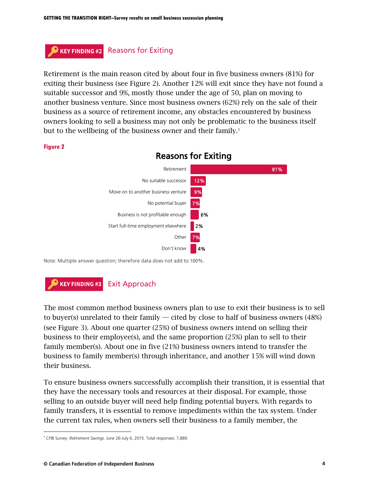## <span id="page-4-0"></span>**KEY FINDING #2** Reasons for Exiting

Retirement is the main reason cited by about four in five business owners (81%) for exiting their business (see Figure 2). Another 12% will exit since they have not found a suitable successor and 9%, mostly those under the age of 50, plan on moving to another business venture. Since most business owners (62%) rely on the sale of their business as a source of retirement income, any obstacles encountered by business owners looking to sell a business may not only be problematic to the business itself but to the wellbeing of the business owner and their family.<sup>5</sup>

#### **Figure 2**



## Reasons for Exiting

Note: Multiple answer question; therefore data does not add to 100%.

## <span id="page-4-1"></span>**KEY FINDING #3 Exit Approach**

The most common method business owners plan to use to exit their business is to sell to buyer(s) unrelated to their family  $-$  cited by close to half of business owners (48%) (see Figure 3). About one quarter (25%) of business owners intend on selling their business to their employee(s), and the same proportion (25%) plan to sell to their family member(s). About one in five (21%) business owners intend to transfer the business to family member(s) through inheritance, and another 15% will wind down their business.

To ensure business owners successfully accomplish their transition, it is essential that they have the necessary tools and resources at their disposal. For example, those selling to an outside buyer will need help finding potential buyers. With regards to family transfers, it is essential to remove impediments within the tax system. Under the current tax rules, when owners sell their business to a family member, the

<sup>5</sup> CFIB Survey: *Retirement Savings*. June 26-July 6, 2015. Total responses: 7,889.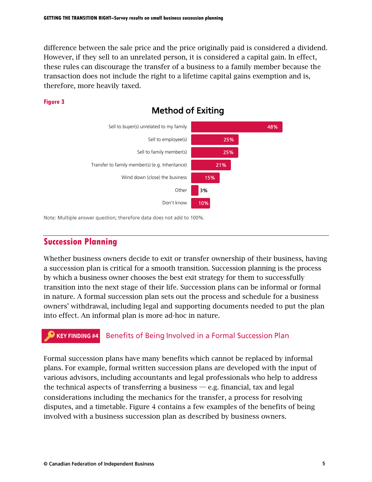difference between the sale price and the price originally paid is considered a dividend. However, if they sell to an unrelated person, it is considered a capital gain. In effect, these rules can discourage the transfer of a business to a family member because the transaction does not include the right to a lifetime capital gains exemption and is, therefore, more heavily taxed.

#### **Figure 3**



<span id="page-5-0"></span>Note: Multiple answer question; therefore data does not add to 100%.

## **Succession Planning**

Whether business owners decide to exit or transfer ownership of their business, having a succession plan is critical for a smooth transition. Succession planning is the process by which a business owner chooses the best exit strategy for them to successfully transition into the next stage of their life. Succession plans can be informal or formal in nature. A formal succession plan sets out the process and schedule for a business owners' withdrawal, including legal and supporting documents needed to put the plan into effect. An informal plan is more ad-hoc in nature.

#### <span id="page-5-1"></span>**KEY FINDING #4** Benefits of Being Involved in a Formal Succession Plan

Formal succession plans have many benefits which cannot be replaced by informal plans. For example, formal written succession plans are developed with the input of various advisors, including accountants and legal professionals who help to address the technical aspects of transferring a business  $-$  e.g. financial, tax and legal considerations including the mechanics for the transfer, a process for resolving disputes, and a timetable. Figure 4 contains a few examples of the benefits of being involved with a business succession plan as described by business owners.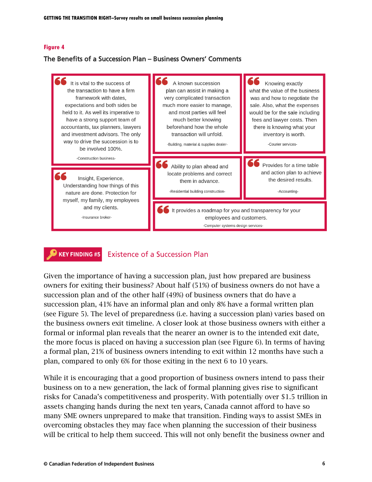### **Figure 4**

### The Benefits of a Succession Plan – Business Owners' Comments



## <span id="page-6-0"></span>**KEY FINDING #5** Existence of a Succession Plan

Given the importance of having a succession plan, just how prepared are business owners for exiting their business? About half (51%) of business owners do not have a succession plan and of the other half (49%) of business owners that do have a succession plan, 41% have an informal plan and only 8% have a formal written plan (see Figure 5). The level of preparedness (i.e. having a succession plan) varies based on the business owners exit timeline. A closer look at those business owners with either a formal or informal plan reveals that the nearer an owner is to the intended exit date, the more focus is placed on having a succession plan (see Figure 6). In terms of having a formal plan, 21% of business owners intending to exit within 12 months have such a plan, compared to only 6% for those exiting in the next 6 to 10 years.

While it is encouraging that a good proportion of business owners intend to pass their business on to a new generation, the lack of formal planning gives rise to significant risks for Canada's competitiveness and prosperity. With potentially over \$1.5 trillion in assets changing hands during the next ten years, Canada cannot afford to have so many SME owners unprepared to make that transition. Finding ways to assist SMEs in overcoming obstacles they may face when planning the succession of their business will be critical to help them succeed. This will not only benefit the business owner and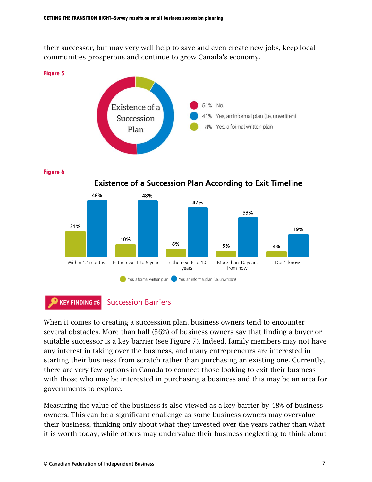their successor, but may very well help to save and even create new jobs, keep local communities prosperous and continue to grow Canada's economy.



**Figure 6**



#### <span id="page-7-0"></span>KEY FINDING #6 **Succession Barriers**

When it comes to creating a succession plan, business owners tend to encounter several obstacles. More than half (56%) of business owners say that finding a buyer or suitable successor is a key barrier (see Figure 7). Indeed, family members may not have any interest in taking over the business, and many entrepreneurs are interested in starting their business from scratch rather than purchasing an existing one. Currently, there are very few options in Canada to connect those looking to exit their business with those who may be interested in purchasing a business and this may be an area for governments to explore.

Measuring the value of the business is also viewed as a key barrier by 48% of business owners. This can be a significant challenge as some business owners may overvalue their business, thinking only about what they invested over the years rather than what it is worth today, while others may undervalue their business neglecting to think about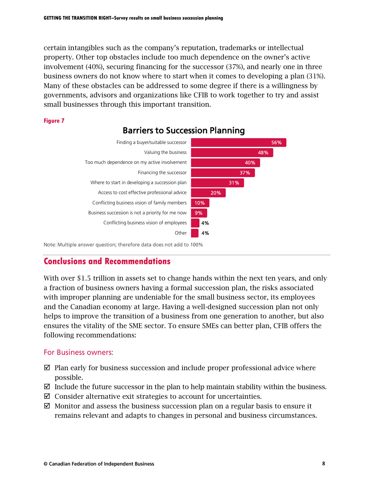certain intangibles such as the company's reputation, trademarks or intellectual property. Other top obstacles include too much dependence on the owner's active involvement (40%), securing financing for the successor (37%), and nearly one in three business owners do not know where to start when it comes to developing a plan (31%). Many of these obstacles can be addressed to some degree if there is a willingness by governments, advisors and organizations like CFIB to work together to try and assist small businesses through this important transition.

**Figure 7**



## Barriers to Succession Planning

<span id="page-8-0"></span>Note: Multiple answer question; therefore data does not add to 100%

## **Conclusions and Recommendations**

With over \$1.5 trillion in assets set to change hands within the next ten years, and only a fraction of business owners having a formal succession plan, the risks associated with improper planning are undeniable for the small business sector, its employees and the Canadian economy at large. Having a well-designed succession plan not only helps to improve the transition of a business from one generation to another, but also ensures the vitality of the SME sector. To ensure SMEs can better plan, CFIB offers the following recommendations:

## <span id="page-8-1"></span>**For Business owners:**

- $\boxtimes$  Plan early for business succession and include proper professional advice where possible.
- $\boxtimes$  Include the future successor in the plan to help maintain stability within the business.
- $\boxtimes$  Consider alternative exit strategies to account for uncertainties.
- $\boxtimes$  Monitor and assess the business succession plan on a regular basis to ensure it remains relevant and adapts to changes in personal and business circumstances.